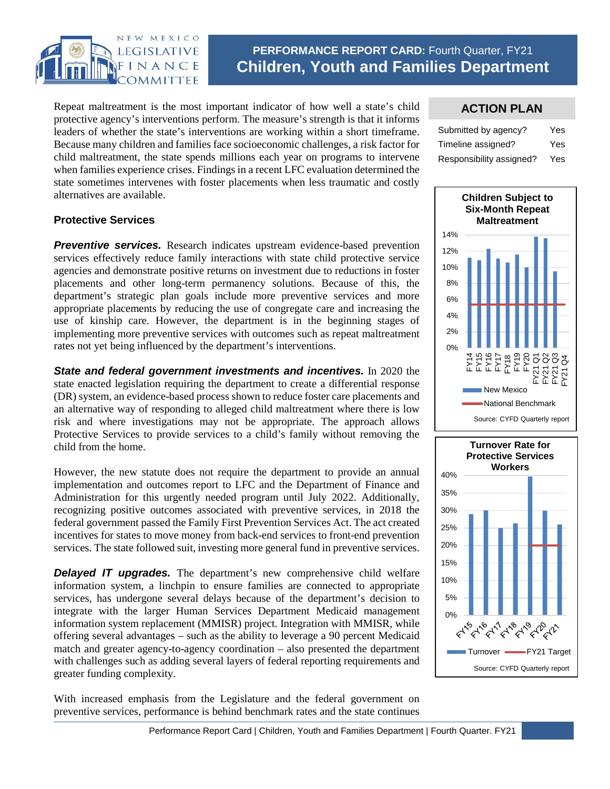

# **PERFORMANCE REPORT CARD:** Fourth Quarter, FY21 **Children, Youth and Families Department**

Repeat maltreatment is the most important indicator of how well a state's child protective agency's interventions perform. The measure's strength is that it informs leaders of whether the state's interventions are working within a short timeframe. Because many children and families face socioeconomic challenges, a risk factor for child maltreatment, the state spends millions each year on programs to intervene when families experience crises. Findings in a recent LFC evaluation determined the state sometimes intervenes with foster placements when less traumatic and costly alternatives are available.

### **ACTION PLAN**

| Submitted by agency?     | Yes |
|--------------------------|-----|
| Timeline assigned?       | Yes |
| Responsibility assigned? | Yes |





### **Protective Services**

**Preventive services.** Research indicates upstream evidence-based prevention services effectively reduce family interactions with state child protective service agencies and demonstrate positive returns on investment due to reductions in foster placements and other long-term permanency solutions. Because of this, the department's strategic plan goals include more preventive services and more appropriate placements by reducing the use of congregate care and increasing the use of kinship care. However, the department is in the beginning stages of implementing more preventive services with outcomes such as repeat maltreatment rates not yet being influenced by the department's interventions.

*State and federal government investments and incentives.* In 2020 the state enacted legislation requiring the department to create a differential response (DR) system, an evidence-based process shown to reduce foster care placements and an alternative way of responding to alleged child maltreatment where there is low risk and where investigations may not be appropriate. The approach allows Protective Services to provide services to a child's family without removing the child from the home.

However, the new statute does not require the department to provide an annual implementation and outcomes report to LFC and the Department of Finance and Administration for this urgently needed program until July 2022. Additionally, recognizing positive outcomes associated with preventive services, in 2018 the federal government passed the Family First Prevention Services Act. The act created incentives for states to move money from back-end services to front-end prevention services. The state followed suit, investing more general fund in preventive services.

**Delayed IT upgrades.** The department's new comprehensive child welfare information system, a linchpin to ensure families are connected to appropriate services, has undergone several delays because of the department's decision to integrate with the larger Human Services Department Medicaid management information system replacement (MMISR) project. Integration with MMISR, while offering several advantages – such as the ability to leverage a 90 percent Medicaid match and greater agency-to-agency coordination – also presented the department with challenges such as adding several layers of federal reporting requirements and greater funding complexity.

With increased emphasis from the Legislature and the federal government on preventive services, performance is behind benchmark rates and the state continues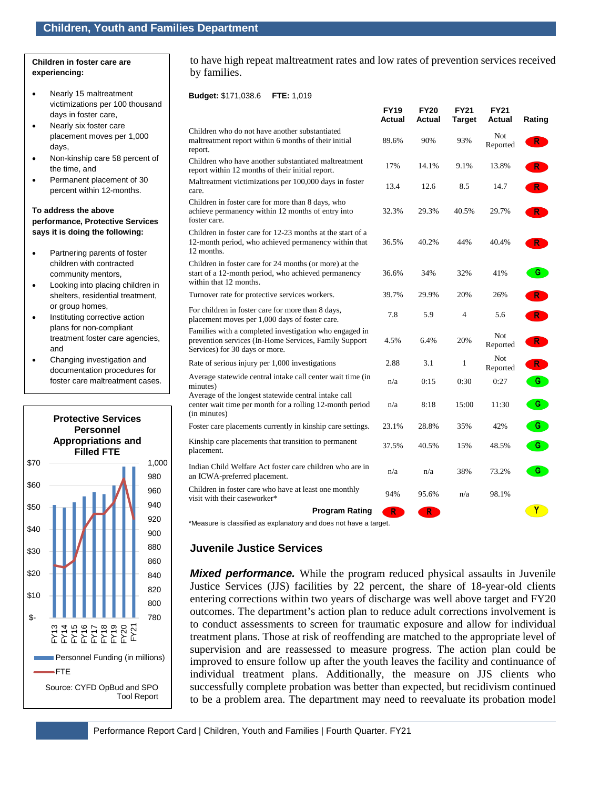#### **Children in foster care are experiencing:**

- Nearly 15 maltreatment victimizations per 100 thousand days in foster care,
- Nearly six foster care placement moves per 1,000 days,
- Non-kinship care 58 percent of the time, and
- Permanent placement of 30 percent within 12-months.

#### **To address the above performance, Protective Services says it is doing the following:**

- Partnering parents of foster children with contracted community mentors,
- Looking into placing children in shelters, residential treatment, or group homes,
- Instituting corrective action plans for non-compliant treatment foster care agencies, and
- Changing investigation and documentation procedures for foster care maltreatment cases.



to have high repeat maltreatment rates and low rates of prevention services received by families.

**FY19**

**FY20**

**FY21**

**FY21**

### **Budget:** \$171,038.6 **FTE:** 1,019

|                                                                                                                                                   | гііэ<br>Actual | г і ∠∪<br>Actual | FIZI<br><b>Target</b> | r i z i<br>Actual      | Rating  |
|---------------------------------------------------------------------------------------------------------------------------------------------------|----------------|------------------|-----------------------|------------------------|---------|
| Children who do not have another substantiated<br>maltreatment report within 6 months of their initial<br>report.                                 | 89.6%          | 90%              | 93%                   | <b>Not</b><br>Reported | $R^{-}$ |
| Children who have another substantiated maltreatment<br>report within 12 months of their initial report.                                          | 17%            | 14.1%            | 9.1%                  | 13.8%                  | R       |
| Maltreatment victimizations per 100,000 days in foster<br>care.                                                                                   | 13.4           | 12.6             | 8.5                   | 14.7                   | R       |
| Children in foster care for more than 8 days, who<br>achieve permanency within 12 months of entry into<br>foster care.                            | 32.3%          | 29.3%            | 40.5%                 | 29.7%                  | R       |
| Children in foster care for 12-23 months at the start of a<br>12-month period, who achieved permanency within that<br>12 months.                  | 36.5%          | 40.2%            | 44%                   | 40.4%                  | $R^-$   |
| Children in foster care for 24 months (or more) at the<br>start of a 12-month period, who achieved permanency<br>within that 12 months.           | 36.6%          | 34%              | 32%                   | 41%                    | G       |
| Turnover rate for protective services workers.                                                                                                    | 39.7%          | 29.9%            | 20%                   | 26%                    | R       |
| For children in foster care for more than 8 days,<br>placement moves per 1,000 days of foster care.                                               | 7.8            | 5.9              | $\overline{4}$        | 5.6                    | R       |
| Families with a completed investigation who engaged in<br>prevention services (In-Home Services, Family Support<br>Services) for 30 days or more. | 4.5%           | 6.4%             | 20%                   | Not<br>Reported        | R.      |
| Rate of serious injury per 1,000 investigations                                                                                                   | 2.88           | 3.1              | 1                     | Not<br>Reported        | R.      |
| Average statewide central intake call center wait time (in<br>minutes)                                                                            | n/a            | 0:15             | 0:30                  | 0:27                   | G       |
| Average of the longest statewide central intake call<br>center wait time per month for a rolling 12-month period<br>(in minutes)                  | n/a            | 8:18             | 15:00                 | 11:30                  | G       |
| Foster care placements currently in kinship care settings.                                                                                        | 23.1%          | 28.8%            | 35%                   | 42%                    | G       |
| Kinship care placements that transition to permanent<br>placement.                                                                                | 37.5%          | 40.5%            | 15%                   | 48.5%                  | G       |
| Indian Child Welfare Act foster care children who are in<br>an ICWA-preferred placement.                                                          | n/a            | n/a              | 38%                   | 73.2%                  | G.      |
| Children in foster care who have at least one monthly<br>visit with their caseworker*                                                             | 94%            | 95.6%            | n/a                   | 98.1%                  |         |
| <b>Program Rating</b>                                                                                                                             | R              | R.               |                       |                        | ΥÏ      |
| *Measure is classified as explanatory and does not have a target                                                                                  |                |                  |                       |                        |         |

anatory and does not have a target

# **Juvenile Justice Services**

*Mixed performance.* While the program reduced physical assaults in Juvenile Justice Services (JJS) facilities by 22 percent, the share of 18-year-old clients entering corrections within two years of discharge was well above target and FY20 outcomes. The department's action plan to reduce adult corrections involvement is to conduct assessments to screen for traumatic exposure and allow for individual treatment plans. Those at risk of reoffending are matched to the appropriate level of supervision and are reassessed to measure progress. The action plan could be improved to ensure follow up after the youth leaves the facility and continuance of individual treatment plans. Additionally, the measure on JJS clients who successfully complete probation was better than expected, but recidivism continued to be a problem area. The department may need to reevaluate its probation model